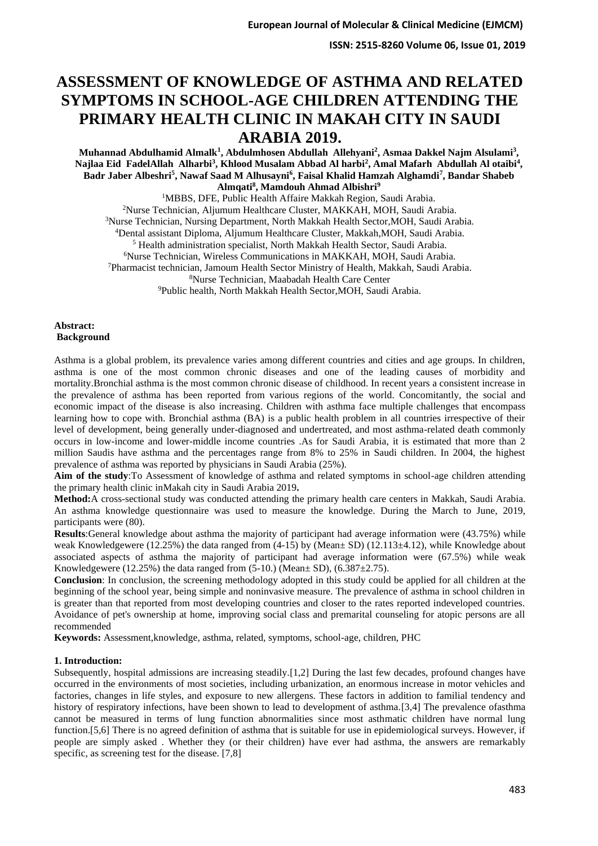# **ASSESSMENT OF KNOWLEDGE OF ASTHMA AND RELATED SYMPTOMS IN SCHOOL-AGE CHILDREN ATTENDING THE PRIMARY HEALTH CLINIC IN MAKAH CITY IN SAUDI ARABIA 2019.**

 $\bm{\mathrm{Multa}}$  Abdulhamid Almalk<sup>1</sup>, Abdulmhosen Abdullah Allehyani<sup>2</sup>, Asmaa Dakkel Najm Alsulami<sup>3</sup>, **Najlaa Eid FadelAllah Alharbi<sup>3</sup> , Khlood Musalam Abbad Al harbi<sup>2</sup> , Amal Mafarh Abdullah Al otaibi<sup>4</sup> , Badr Jaber Albeshri<sup>5</sup> , Nawaf Saad M Alhusayni<sup>6</sup> , Faisal Khalid Hamzah Alghamdi<sup>7</sup> , Bandar Shabeb Almqati<sup>8</sup> , Mamdouh Ahmad Albishri<sup>9</sup>**

<sup>1</sup>MBBS, DFE, Public Health Affaire Makkah Region, Saudi Arabia. Nurse Technician, Aljumum Healthcare Cluster, MAKKAH, MOH, Saudi Arabia. Nurse Technician, Nursing Department, North Makkah Health Sector,MOH, Saudi Arabia. Dental assistant Diploma, Aljumum Healthcare Cluster, Makkah,MOH, Saudi Arabia. Health administration specialist, North Makkah Health Sector, Saudi Arabia. Nurse Technician, Wireless Communications in MAKKAH, MOH, Saudi Arabia. Pharmacist technician, Jamoum Health Sector Ministry of Health, Makkah, Saudi Arabia. Nurse Technician, Maabadah Health Care Center <sup>9</sup>Public health, North Makkah Health Sector, MOH, Saudi Arabia.

### **Abstract: Background**

Asthma is a global problem, its prevalence varies among different countries and cities and age groups. In children, asthma is one of the most common chronic diseases and one of the leading causes of morbidity and mortality.Bronchial asthma is the most common chronic disease of childhood. In recent years a consistent increase in the prevalence of asthma has been reported from various regions of the world. Concomitantly, the social and economic impact of the disease is also increasing. Children with asthma face multiple challenges that encompass learning how to cope with. Bronchial asthma (BA) is a public health problem in all countries irrespective of their level of development, being generally under-diagnosed and undertreated, and most asthma-related death commonly occurs in low-income and lower-middle income countries .As for Saudi Arabia, it is estimated that more than 2 million Saudis have asthma and the percentages range from 8% to 25% in Saudi children. In 2004, the highest prevalence of asthma was reported by physicians in Saudi Arabia (25%).

**Aim of the study**:To Assessment of knowledge of asthma and related symptoms in school-age children attending the primary health clinic inMakah city in Saudi Arabia 2019**.**

**Method:**A cross-sectional study was conducted attending the primary health care centers in Makkah, Saudi Arabia. An asthma knowledge questionnaire was used to measure the knowledge. During the March to June, 2019, participants were (80).

**Results**:General knowledge about asthma the majority of participant had average information were (43.75%) while weak Knowledgewere (12.25%) the data ranged from (4-15) by (Mean± SD) (12.113±4.12), while Knowledge about associated aspects of asthma the majority of participant had average information were (67.5%) while weak Knowledgewere (12.25%) the data ranged from  $(5-10)$ . (Mean $\pm$  SD),  $(6.387\pm2.75)$ .

**Conclusion**: In conclusion, the screening methodology adopted in this study could be applied for all children at the beginning of the school year, being simple and noninvasive measure. The prevalence of asthma in school children in is greater than that reported from most developing countries and closer to the rates reported indeveloped countries. Avoidance of pet's ownership at home, improving social class and premarital counseling for atopic persons are all recommended

**Keywords:** Assessment,knowledge, asthma, related, symptoms, school-age, children, PHC

### **1. Introduction:**

Subsequently, hospital admissions are increasing steadily.[1,2] During the last few decades, profound changes have occurred in the environments of most societies, including urbanization, an enormous increase in motor vehicles and factories, changes in life styles, and exposure to new allergens. These factors in addition to familial tendency and history of respiratory infections, have been shown to lead to development of asthma.[3,4] The prevalence ofasthma cannot be measured in terms of lung function abnormalities since most asthmatic children have normal lung function.[5,6] There is no agreed definition of asthma that is suitable for use in epidemiological surveys. However, if people are simply asked . Whether they (or their children) have ever had asthma, the answers are remarkably specific, as screening test for the disease. [7,8]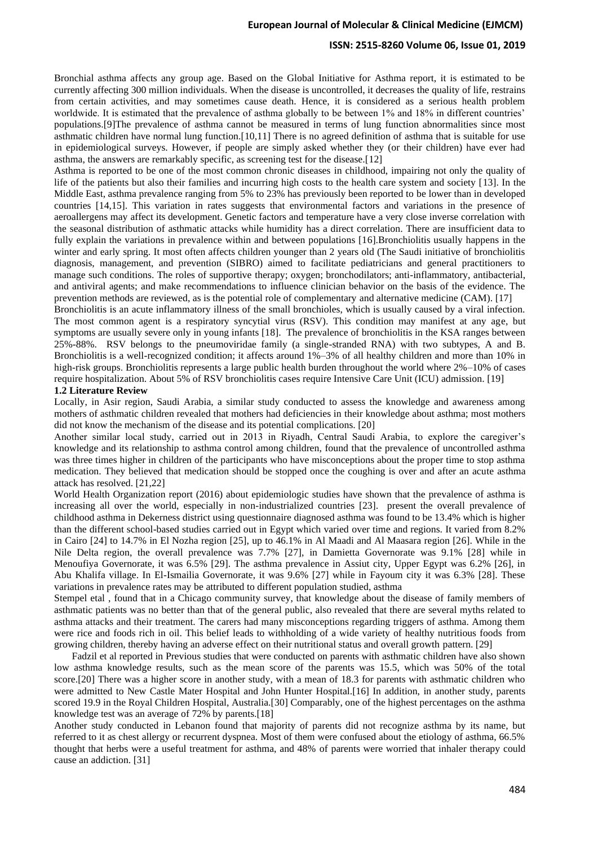#### **ISSN: 2515-8260 Volume 06, Issue 01, 2019**

Bronchial asthma affects any group age. Based on the Global Initiative for Asthma report, it is estimated to be currently affecting 300 million individuals. When the disease is uncontrolled, it decreases the quality of life, restrains from certain activities, and may sometimes cause death. Hence, it is considered as a serious health problem worldwide. It is estimated that the prevalence of asthma globally to be between 1% and 18% in different countries' populations.[9]The prevalence of asthma cannot be measured in terms of lung function abnormalities since most asthmatic children have normal lung function.[10,11] There is no agreed definition of asthma that is suitable for use in epidemiological surveys. However, if people are simply asked whether they (or their children) have ever had asthma, the answers are remarkably specific, as screening test for the disease.[12]

Asthma is reported to be one of the most common chronic diseases in childhood, impairing not only the quality of life of the patients but also their families and incurring high costs to the health care system and society [13]. In the Middle East, asthma prevalence ranging from 5% to 23% has previously been reported to be lower than in developed countries [14,15]. This variation in rates suggests that environmental factors and variations in the presence of aeroallergens may affect its development. Genetic factors and temperature have a very close inverse correlation with the seasonal distribution of asthmatic attacks while humidity has a direct correlation. There are insufficient data to fully explain the variations in prevalence within and between populations [16].Bronchiolitis usually happens in the winter and early spring. It most often affects children younger than 2 years old (The Saudi initiative of bronchiolitis diagnosis, management, and prevention (SIBRO) aimed to facilitate pediatricians and general practitioners to manage such conditions. The roles of supportive therapy; oxygen; bronchodilators; anti-inflammatory, antibacterial, and antiviral agents; and make recommendations to influence clinician behavior on the basis of the evidence. The prevention methods are reviewed, as is the potential role of complementary and alternative medicine (CAM). [17]

Bronchiolitis is an acute inflammatory illness of the small bronchioles, which is usually caused by a viral infection. The most common agent is a respiratory syncytial virus (RSV). This condition may manifest at any age, but symptoms are usually severe only in young infants [18]. The prevalence of bronchiolitis in the KSA ranges between 25%-88%. RSV belongs to the pneumoviridae family (a single-stranded RNA) with two subtypes, A and B. Bronchiolitis is a well-recognized condition; it affects around 1%–3% of all healthy children and more than 10% in high-risk groups. Bronchiolitis represents a large public health burden throughout the world where 2%–10% of cases require hospitalization. About 5% of RSV bronchiolitis cases require Intensive Care Unit (ICU) admission. [19]

### **1.2 Literature Review**

Locally, in Asir region, Saudi Arabia, a similar study conducted to assess the knowledge and awareness among mothers of asthmatic children revealed that mothers had deficiencies in their knowledge about asthma; most mothers did not know the mechanism of the disease and its potential complications. [20]

Another similar local study, carried out in 2013 in Riyadh, Central Saudi Arabia, to explore the caregiver's knowledge and its relationship to asthma control among children, found that the prevalence of uncontrolled asthma was three times higher in children of the participants who have misconceptions about the proper time to stop asthma medication. They believed that medication should be stopped once the coughing is over and after an acute asthma attack has resolved. [21,22]

World Health Organization report (2016) about epidemiologic studies have shown that the prevalence of asthma is increasing all over the world, especially in non-industrialized countries [23]. present the overall prevalence of childhood asthma in Dekerness district using questionnaire diagnosed asthma was found to be 13.4% which is higher than the different school-based studies carried out in Egypt which varied over time and regions. It varied from 8.2% in Cairo [24] to 14.7% in El Nozha region [25], up to 46.1% in Al Maadi and Al Maasara region [26]. While in the Nile Delta region, the overall prevalence was 7.7% [27], in Damietta Governorate was 9.1% [28] while in Menoufiya Governorate, it was 6.5% [29]. The asthma prevalence in Assiut city, Upper Egypt was 6.2% [26], in Abu Khalifa village. In El-Ismailia Governorate, it was 9.6% [27] while in Fayoum city it was 6.3% [28]. These variations in prevalence rates may be attributed to different population studied, asthma

Stempel etal , found that in a Chicago community survey, that knowledge about the disease of family members of asthmatic patients was no better than that of the general public, also revealed that there are several myths related to asthma attacks and their treatment. The carers had many misconceptions regarding triggers of asthma. Among them were rice and foods rich in oil. This belief leads to withholding of a wide variety of healthy nutritious foods from growing children, thereby having an adverse effect on their nutritional status and overall growth pattern. [29]

 Fadzil et al reported in Previous studies that were conducted on parents with asthmatic children have also shown low asthma knowledge results, such as the mean score of the parents was 15.5, which was 50% of the total score.[20] There was a higher score in another study, with a mean of 18.3 for parents with asthmatic children who were admitted to New Castle Mater Hospital and John Hunter Hospital.[16] In addition, in another study, parents scored 19.9 in the Royal Children Hospital, Australia.[30] Comparably, one of the highest percentages on the asthma knowledge test was an average of 72% by parents.[18]

Another study conducted in Lebanon found that majority of parents did not recognize asthma by its name, but referred to it as chest allergy or recurrent dyspnea. Most of them were confused about the etiology of asthma, 66.5% thought that herbs were a useful treatment for asthma, and 48% of parents were worried that inhaler therapy could cause an addiction. [31]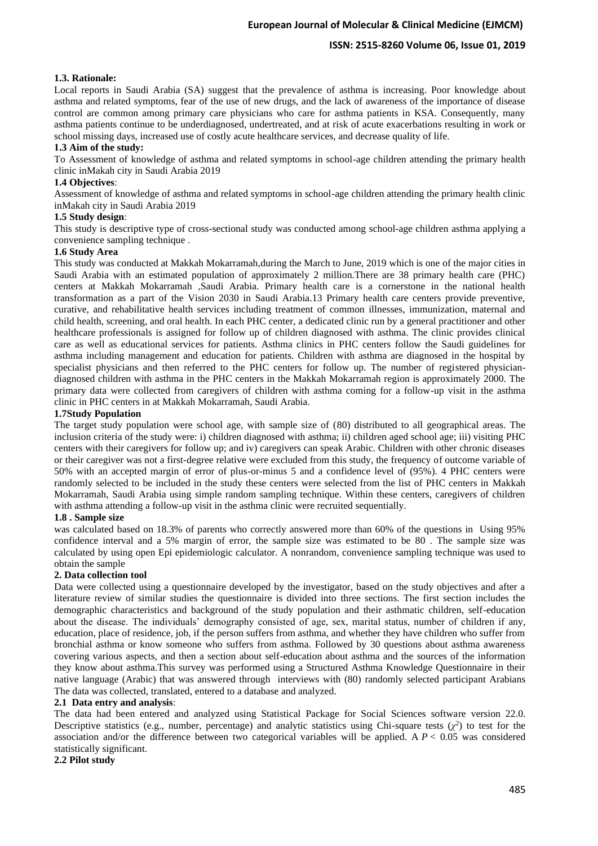### **1.3. Rationale:**

Local reports in Saudi Arabia (SA) suggest that the prevalence of asthma is increasing. Poor knowledge about asthma and related symptoms, fear of the use of new drugs, and the lack of awareness of the importance of disease control are common among primary care physicians who care for asthma patients in KSA. Consequently, many asthma patients continue to be underdiagnosed, undertreated, and at risk of acute exacerbations resulting in work or school missing days, increased use of costly acute healthcare services, and decrease quality of life.

### **1.3 Aim of the study :**

To Assessment of knowledge of asthma and related symptoms in school-age children attending the primary health clinic inMakah city in Saudi Arabia 2019

#### **1.4 Objectives**:

Assessment of knowledge of asthma and related symptoms in school-age children attending the primary health clinic inMakah city in Saudi Arabia 2019

#### **1.5 Study design**:

This study is descriptive type of cross-sectional study was conducted among school-age children asthma applying a convenience sampling technique .

### **1.6 Study Area**

This study was conducted at Makkah Mokarramah,during the March to June, 2019 which is one of the major cities in Saudi Arabia with an estimated population of approximately 2 million.There are 38 primary health care (PHC) centers at Makkah Mokarramah ,Saudi Arabia. Primary health care is a cornerstone in the national health transformation as a part of the Vision 2030 in Saudi Arabia.13 Primary health care centers provide preventive, curative, and rehabilitative health services including treatment of common illnesses, immunization, maternal and child health, screening, and oral health. In each PHC center, a dedicated clinic run by a general practitioner and other healthcare professionals is assigned for follow up of children diagnosed with asthma. The clinic provides clinical care as well as educational services for patients. Asthma clinics in PHC centers follow the Saudi guidelines for asthma including management and education for patients. Children with asthma are diagnosed in the hospital by specialist physicians and then referred to the PHC centers for follow up. The number of registered physiciandiagnosed children with asthma in the PHC centers in the Makkah Mokarramah region is approximately 2000. The primary data were collected from caregivers of children with asthma coming for a follow-up visit in the asthma clinic in PHC centers in at Makkah Mokarramah, Saudi Arabia.

#### **1.7Study Population**

The target study population were school age, with sample size of (80) distributed to all geographical areas. The inclusion criteria of the study were: i) children diagnosed with asthma; ii) children aged school age; iii) visiting PHC centers with their caregivers for follow up; and iv) caregivers can speak Arabic. Children with other chronic diseases or their caregiver was not a first-degree relative were excluded from this study, the frequency of outcome variable of 50% with an accepted margin of error of plus-or-minus 5 and a confidence level of (95%). 4 PHC centers were randomly selected to be included in the study these centers were selected from the list of PHC centers in Makkah Mokarramah, Saudi Arabia using simple random sampling technique. Within these centers, caregivers of children with asthma attending a follow-up visit in the asthma clinic were recruited sequentially.

### **1.8 . Sample size**

was calculated based on 18.3% of parents who correctly answered more than 60% of the questions in Using 95% confidence interval and a 5% margin of error, the sample size was estimated to be 80 . The sample size was calculated by using open Epi epidemiologic calculator. A nonrandom, convenience sampling technique was used to obtain the sample

#### **2. Data collection tool**

Data were collected using a questionnaire developed by the investigator, based on the study objectives and after a literature review of similar studies the questionnaire is divided into three sections. The first section includes the demographic characteristics and background of the study population and their asthmatic children, self-education about the disease. The individuals' demography consisted of age, sex, marital status, number of children if any, education, place of residence, job, if the person suffers from asthma, and whether they have children who suffer from bronchial asthma or know someone who suffers from asthma. Followed by 30 questions about asthma awareness covering various aspects, and then a section about self-education about asthma and the sources of the information they know about asthma.This survey was performed using a Structured Asthma Knowledge Questionnaire in their native language (Arabic) that was answered through interviews with (80) randomly selected participant Arabians The data was collected, translated, entered to a database and analyzed.

#### **2.1 Data entry and analysis**:

The data had been entered and analyzed using Statistical Package for Social Sciences software version 22.0. Descriptive statistics (e.g., number, percentage) and analytic statistics using Chi-square tests  $(\chi^2)$  to test for the association and/or the difference between two categorical variables will be applied. A  $P < 0.05$  was considered statistically significant.

#### **2.2 Pilot study**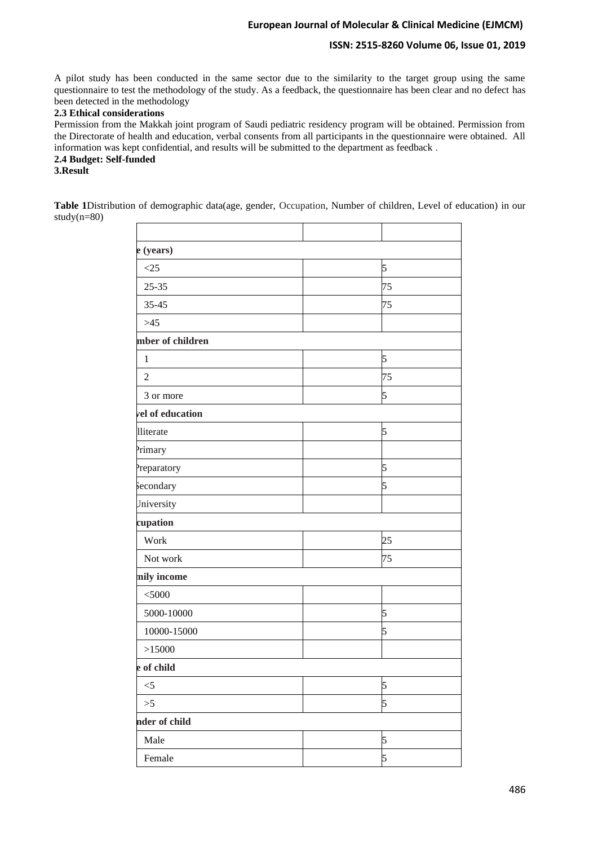### **ISSN: 2515-8260 Volume 06, Issue 01, 2019**

A pilot study has been conducted in the same sector due to the similarity to the target group using the same questionnaire to test the methodology of the study. As a feedback, the questionnaire has been clear and no defect has been detected in the methodology

### **2.3 Ethical considerations**

Permission from the Makkah joint program of Saudi pediatric residency program will be obtained. Permission from the Directorate of health and education, verbal consents from all participants in the questionnaire were obtained. All information was kept confidential, and results will be submitted to the department as feedback .

## **2.4 Budget: Self-funded**

### **3.Result**

**Table 1**Distribution of demographic data(age, gender, Occupation, Number of children, Level of education) in our study(n=80)

| e (years)        |    |
|------------------|----|
| <25              | 5  |
| $25 - 35$        | 75 |
| $35 - 45$        | 75 |
| $>45$            |    |
| mber of children |    |
| $\mathbf{1}$     | 5  |
| $\overline{2}$   | 75 |
| 3 or more        | 5  |
| vel of education |    |
| lliterate        | 5  |
| Primary          |    |
| Preparatory      | 5  |
| Secondary        | 5  |
| Jniversity       |    |
| cupation         |    |
| Work             | 25 |
| Not work         | 75 |
| mily income      |    |
| $<$ 5000         |    |
| 5000-10000       | 5  |
| 10000-15000      | 5  |
| >15000           |    |
| e of child       |    |
| $<$ 5            | 5  |
| $>\!\!5$         | 5  |
| nder of child    |    |
| Male             | 5  |
| Female           | 5  |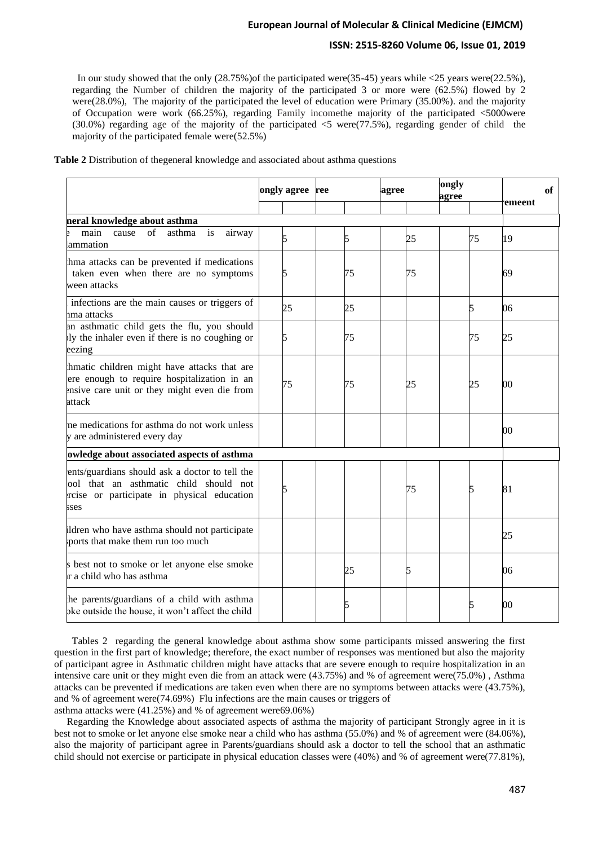### **ISSN: 2515-8260 Volume 06, Issue 01, 2019**

In our study showed that the only  $(28.75%)$  of the participated were $(35-45)$  years while <25 years were $(22.5%)$ , regarding the Number of children the majority of the participated 3 or more were (62.5%) flowed by 2 were(28.0%), The majority of the participated the level of education were Primary (35.00%). and the majority of Occupation were work (66.25%), regarding Family incomethe majority of the participated <5000were (30.0%) regarding age of the majority of the participated <5 were(77.5%), regarding gender of child the majority of the participated female were(52.5%)

|                                                                                                                                                      | ongly agree | ree | agree | ongly<br>agree | of<br>emeent |
|------------------------------------------------------------------------------------------------------------------------------------------------------|-------------|-----|-------|----------------|--------------|
| neral knowledge about asthma                                                                                                                         |             |     |       |                |              |
| main<br>of<br>asthma<br>is<br>cause<br>airway<br>ammation                                                                                            | 5           | 5   | 25    | 75             | 19           |
| hma attacks can be prevented if medications<br>taken even when there are no symptoms<br>ween attacks                                                 | 5           | 75  | 75    |                | 69           |
| infections are the main causes or triggers of<br>nma attacks                                                                                         | 25          | 25  |       | 5              | 06           |
| an asthmatic child gets the flu, you should<br>ly the inhaler even if there is no coughing or<br>eezing                                              | 5           | 75  |       | 75             | 25           |
| hmatic children might have attacks that are<br>ere enough to require hospitalization in an<br>ensive care unit or they might even die from<br>attack | 75          | 75  | 25    | 25             | $00\,$       |
| ne medications for asthma do not work unless<br>y are administered every day                                                                         |             |     |       |                | 00           |
| owledge about associated aspects of asthma                                                                                                           |             |     |       |                |              |
| ents/guardians should ask a doctor to tell the<br>ool that an asthmatic child should not<br>rcise or participate in physical education<br>sses       |             |     | 75    | 5              | 81           |
| ldren who have asthma should not participate<br>ports that make them run too much                                                                    |             |     |       |                | 25           |
| s best not to smoke or let anyone else smoke<br>r a child who has asthma                                                                             |             | 25  |       |                | 06           |
| the parents/guardians of a child with asthma<br>bke outside the house, it won't affect the child                                                     |             | 5   |       | 5              | 00           |

**Table 2** Distribution of thegeneral knowledge and associated about asthma questions

 Tables 2 regarding the general knowledge about asthma show some participants missed answering the first question in the first part of knowledge; therefore, the exact number of responses was mentioned but also the majority of participant agree in Asthmatic children might have attacks that are severe enough to require hospitalization in an intensive care unit or they might even die from an attack were (43.75%) and % of agreement were(75.0%) , Asthma attacks can be prevented if medications are taken even when there are no symptoms between attacks were (43.75%), and % of agreement were(74.69%) Flu infections are the main causes or triggers of asthma attacks were (41.25%) and % of agreement were69.06%)

 Regarding the Knowledge about associated aspects of asthma the majority of participant Strongly agree in it is best not to smoke or let anyone else smoke near a child who has asthma (55.0%) and % of agreement were (84.06%), also the majority of participant agree in Parents/guardians should ask a doctor to tell the school that an asthmatic child should not exercise or participate in physical education classes were (40%) and % of agreement were(77.81%),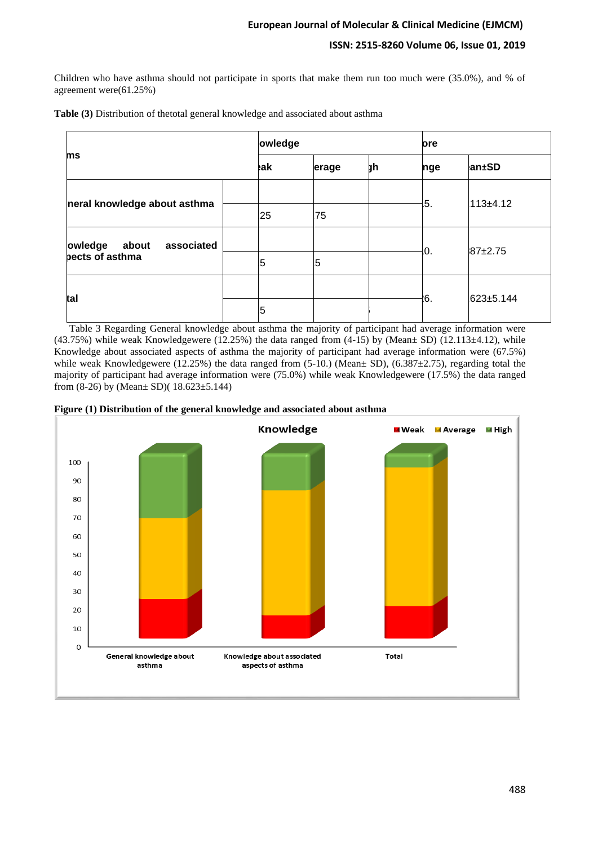Children who have asthma should not participate in sports that make them run too much were (35.0%), and % of agreement were(61.25%)

|  |  |  |  |  | Table (3) Distribution of thetotal general knowledge and associated about asthma |  |  |
|--|--|--|--|--|----------------------------------------------------------------------------------|--|--|
|--|--|--|--|--|----------------------------------------------------------------------------------|--|--|

| ms<br>eak:                     |    | owledge |    |     | ore         |  |
|--------------------------------|----|---------|----|-----|-------------|--|
|                                |    | erage   | þһ | nge | an±SD       |  |
| neral knowledge about asthma   |    |         |    | 5.  | $113+4.12$  |  |
|                                | 25 | 75      |    |     |             |  |
| owledge<br>associated<br>about |    |         |    |     |             |  |
| bects of asthma                | 5  | 5       |    | 0.  | $87 + 2.75$ |  |
| tal                            |    |         |    |     |             |  |
|                                | 5  |         |    | .6  | 623±5.144   |  |

 Table 3 Regarding General knowledge about asthma the majority of participant had average information were  $(43.75%)$  while weak Knowledgewere (12.25%) the data ranged from  $(4-15)$  by (Mean $\pm$  SD) (12.113 $\pm$ 4.12), while Knowledge about associated aspects of asthma the majority of participant had average information were (67.5%) while weak Knowledgewere (12.25%) the data ranged from (5-10.) (Mean $\pm$  SD), (6.387 $\pm$ 2.75), regarding total the majority of participant had average information were (75.0%) while weak Knowledgewere (17.5%) the data ranged from (8-26) by (Mean± SD)( 18.623±5.144)



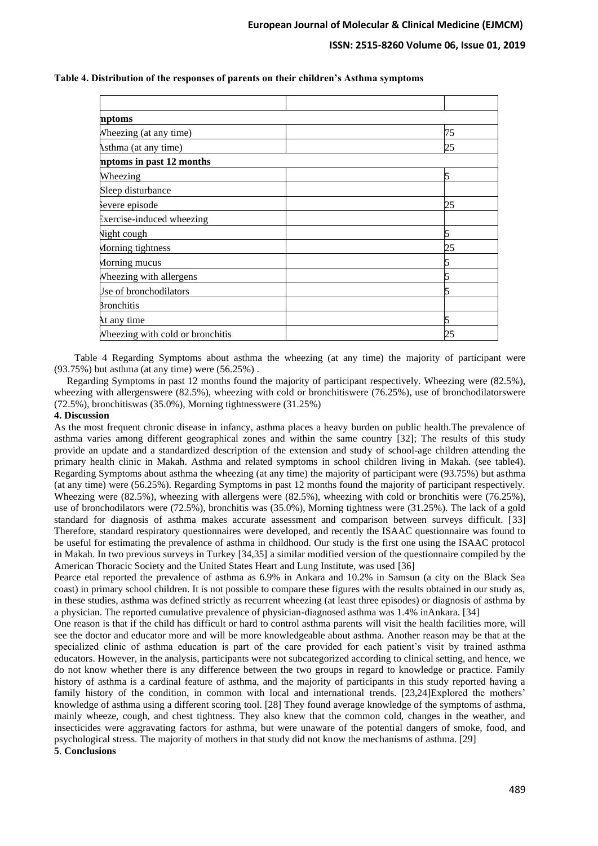**Table 4. Distribution of the responses of parents on their children's Asthma symptoms**

| nptoms                           |    |
|----------------------------------|----|
| Wheezing (at any time)           | 75 |
| Asthma (at any time)             | 25 |
| mptoms in past 12 months         |    |
| Wheezing                         |    |
| Sleep disturbance                |    |
| severe episode                   | 25 |
| Exercise-induced wheezing        |    |
| Night cough                      |    |
| Morning tightness                | 25 |
| Morning mucus                    |    |
| <b>Wheezing with allergens</b>   |    |
| Jse of bronchodilators           |    |
| <b>Bronchitis</b>                |    |
| At any time                      |    |
| Wheezing with cold or bronchitis | 25 |

 Table 4 Regarding Symptoms about asthma the wheezing (at any time) the majority of participant were (93.75%) but asthma (at any time) were (56.25%) .

 Regarding Symptoms in past 12 months found the majority of participant respectively. Wheezing were (82.5%), wheezing with allergenswere (82.5%), wheezing with cold or bronchitiswere (76.25%), use of bronchodilatorswere (72.5%), bronchitiswas (35.0%), Morning tightnesswere (31.25%)

#### **4. Discussion**

As the most frequent chronic disease in infancy, asthma places a heavy burden on public health.The prevalence of asthma varies among different geographical zones and within the same country [32]; The results of this study provide an update and a standardized description of the extension and study of school-age children attending the primary health clinic in Makah. Asthma and related symptoms in school children living in Makah. (see table4). Regarding Symptoms about asthma the wheezing (at any time) the majority of participant were (93.75%) but asthma (at any time) were (56.25%). Regarding Symptoms in past 12 months found the majority of participant respectively. Wheezing were (82.5%), wheezing with allergens were (82.5%), wheezing with cold or bronchitis were (76.25%), use of bronchodilators were (72.5%), bronchitis was (35.0%), Morning tightness were (31.25%). The lack of a gold standard for diagnosis of asthma makes accurate assessment and comparison between surveys difficult. [33] Therefore, standard respiratory questionnaires were developed, and recently the ISAAC questionnaire was found to be useful for estimating the prevalence of asthma in childhood. Our study is the first one using the ISAAC protocol in Makah. In two previous surveys in Turkey [34,35] a similar modified version of the questionnaire compiled by the American Thoracic Society and the United States Heart and Lung Institute, was used [36]

Pearce etal reported the prevalence of asthma as 6.9% in Ankara and 10.2% in Samsun (a city on the Black Sea coast) in primary school children. It is not possible to compare these figures with the results obtained in our study as, in these studies, asthma was defined strictly as recurrent wheezing (at least three episodes) or diagnosis of asthma by a physician. The reported cumulative prevalence of physician-diagnosed asthma was 1.4% inAnkara. [34]

One reason is that if the child has difficult or hard to control asthma parents will visit the health facilities more, will see the doctor and educator more and will be more knowledgeable about asthma. Another reason may be that at the specialized clinic of asthma education is part of the care provided for each patient's visit by trained asthma educators. However, in the analysis, participants were not subcategorized according to clinical setting, and hence, we do not know whether there is any difference between the two groups in regard to knowledge or practice. Family history of asthma is a cardinal feature of asthma, and the majority of participants in this study reported having a family history of the condition, in common with local and international trends. [23,24]Explored the mothers' knowledge of asthma using a different scoring tool. [28] They found average knowledge of the symptoms of asthma, mainly wheeze, cough, and chest tightness. They also knew that the common cold, changes in the weather, and insecticides were aggravating factors for asthma, but were unaware of the potential dangers of smoke, food, and psychological stress. The majority of mothers in that study did not know the mechanisms of asthma. [29] **5**. **Conclusions**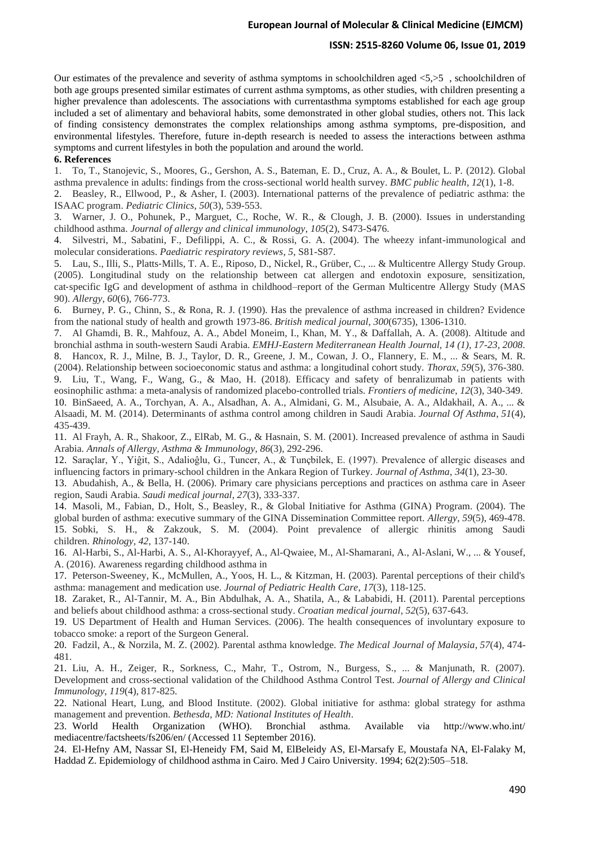#### **ISSN: 2515-8260 Volume 06, Issue 01, 2019**

Our estimates of the prevalence and severity of asthma symptoms in schoolchildren aged <5,>5 , schoolchildren of both age groups presented similar estimates of current asthma symptoms, as other studies, with children presenting a higher prevalence than adolescents. The associations with currentasthma symptoms established for each age group included a set of alimentary and behavioral habits, some demonstrated in other global studies, others not. This lack of finding consistency demonstrates the complex relationships among asthma symptoms, pre-disposition, and environmental lifestyles. Therefore, future in-depth research is needed to assess the interactions between asthma symptoms and current lifestyles in both the population and around the world.

### **6. References**

1. To, T., Stanojevic, S., Moores, G., Gershon, A. S., Bateman, E. D., Cruz, A. A., & Boulet, L. P. (2012). Global asthma prevalence in adults: findings from the cross-sectional world health survey. *BMC public health*, *12*(1), 1-8.

2. Beasley, R., Ellwood, P., & Asher, I. (2003). International patterns of the prevalence of pediatric asthma: the ISAAC program. *Pediatric Clinics*, *50*(3), 539-553.

3. Warner, J. O., Pohunek, P., Marguet, C., Roche, W. R., & Clough, J. B. (2000). Issues in understanding childhood asthma. *Journal of allergy and clinical immunology*, *105*(2), S473-S476.

4. Silvestri, M., Sabatini, F., Defilippi, A. C., & Rossi, G. A. (2004). The wheezy infant-immunological and molecular considerations. *Paediatric respiratory reviews*, *5*, S81-S87.

5. Lau, S., Illi, S., Platts‐Mills, T. A. E., Riposo, D., Nickel, R., Grüber, C., ... & Multicentre Allergy Study Group. (2005). Longitudinal study on the relationship between cat allergen and endotoxin exposure, sensitization, cat‐specific IgG and development of asthma in childhood–report of the German Multicentre Allergy Study (MAS 90). *Allergy*, *60*(6), 766-773.

6. Burney, P. G., Chinn, S., & Rona, R. J. (1990). Has the prevalence of asthma increased in children? Evidence from the national study of health and growth 1973-86. *British medical journal*, *300*(6735), 1306-1310.

7. Al Ghamdi, B. R., Mahfouz, A. A., Abdel Moneim, I., Khan, M. Y., & Daffallah, A. A. (2008). Altitude and bronchial asthma in south-western Saudi Arabia. *EMHJ-Eastern Mediterranean Health Journal, 14 (1), 17-23, 2008*.

8. Hancox, R. J., Milne, B. J., Taylor, D. R., Greene, J. M., Cowan, J. O., Flannery, E. M., ... & Sears, M. R. (2004). Relationship between socioeconomic status and asthma: a longitudinal cohort study. *Thorax*, *59*(5), 376-380. 9. Liu, T., Wang, F., Wang, G., & Mao, H. (2018). Efficacy and safety of benralizumab in patients with eosinophilic asthma: a meta-analysis of randomized placebo-controlled trials. *Frontiers of medicine*, *12*(3), 340-349.

10. BinSaeed, A. A., Torchyan, A. A., Alsadhan, A. A., Almidani, G. M., Alsubaie, A. A., Aldakhail, A. A., ... & Alsaadi, M. M. (2014). Determinants of asthma control among children in Saudi Arabia. *Journal Of Asthma*, *51*(4), 435-439.

11. Al Frayh, A. R., Shakoor, Z., ElRab, M. G., & Hasnain, S. M. (2001). Increased prevalence of asthma in Saudi Arabia. *Annals of Allergy, Asthma & Immunology*, *86*(3), 292-296.

12. Saraçlar, Y., Yiĝit, S., Adalioĝlu, G., Tuncer, A., & Tunçbilek, E. (1997). Prevalence of allergic diseases and influencing factors in primary-school children in the Ankara Region of Turkey. *Journal of Asthma*, *34*(1), 23-30.

13. Abudahish, A., & Bella, H. (2006). Primary care physicians perceptions and practices on asthma care in Aseer region, Saudi Arabia. *Saudi medical journal*, *27*(3), 333-337.

14. Masoli, M., Fabian, D., Holt, S., Beasley, R., & Global Initiative for Asthma (GINA) Program. (2004). The global burden of asthma: executive summary of the GINA Dissemination Committee report. *Allergy*, *59*(5), 469-478. 15. Sobki, S. H., & Zakzouk, S. M. (2004). Point prevalence of allergic rhinitis among Saudi children. *Rhinology*, *42*, 137-140.

16. Al-Harbi, S., Al-Harbi, A. S., Al-Khorayyef, A., Al-Qwaiee, M., Al-Shamarani, A., Al-Aslani, W., ... & Yousef, A. (2016). Awareness regarding childhood asthma in

17. Peterson-Sweeney, K., McMullen, A., Yoos, H. L., & Kitzman, H. (2003). Parental perceptions of their child's asthma: management and medication use. *Journal of Pediatric Health Care*, *17*(3), 118-125.

18. Zaraket, R., Al-Tannir, M. A., Bin Abdulhak, A. A., Shatila, A., & Lababidi, H. (2011). Parental perceptions and beliefs about childhood asthma: a cross-sectional study. *Croatian medical journal*, *52*(5), 637-643.

19. US Department of Health and Human Services. (2006). The health consequences of involuntary exposure to tobacco smoke: a report of the Surgeon General.

20. Fadzil, A., & Norzila, M. Z. (2002). Parental asthma knowledge. *The Medical Journal of Malaysia*, *57*(4), 474- 481.

21. Liu, A. H., Zeiger, R., Sorkness, C., Mahr, T., Ostrom, N., Burgess, S., ... & Manjunath, R. (2007). Development and cross-sectional validation of the Childhood Asthma Control Test. *Journal of Allergy and Clinical Immunology*, *119*(4), 817-825.

22. National Heart, Lung, and Blood Institute. (2002). Global initiative for asthma: global strategy for asthma management and prevention. *Bethesda, MD: National Institutes of Health*.

23. World Health Organization (WHO). Bronchial asthma. Available via http://www.who.int/ mediacentre/factsheets/fs206/en/ (Accessed 11 September 2016).

24. El-Hefny AM, Nassar SI, El-Heneidy FM, Said M, ElBeleidy AS, El-Marsafy E, Moustafa NA, El-Falaky M, Haddad Z. Epidemiology of childhood asthma in Cairo. Med J Cairo University. 1994; 62(2):505–518.